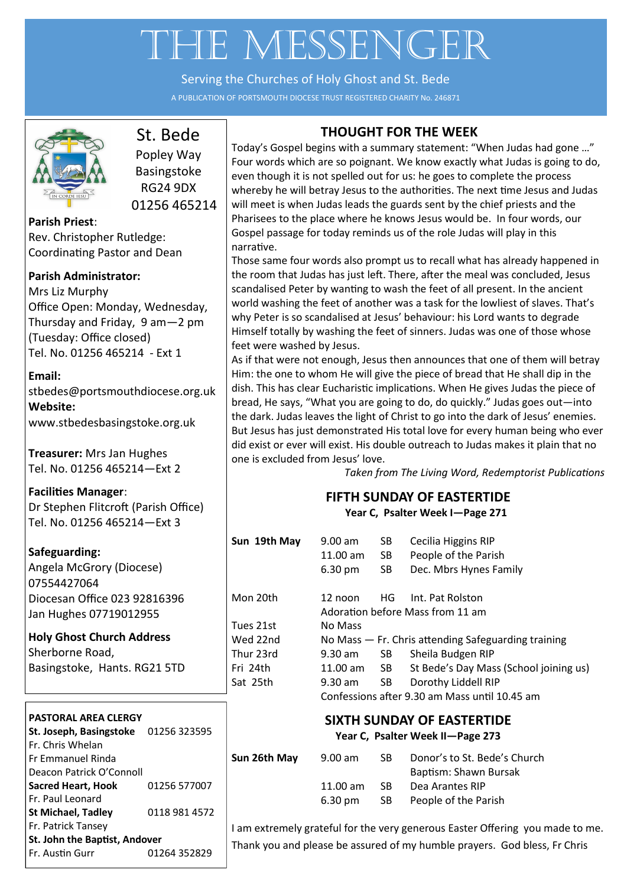# THE MESSENGER

Serving the Churches of Holy Ghost and St. Bede

A PUBLICATION OF PORTSMOUTH DIOCESE TRUST REGISTERED CHARITY No. 246871



# St. Bede

Popley Way Basingstoke RG24 9DX 01256 465214

**Parish Priest**: Rev. Christopher Rutledge: Coordinating Pastor and Dean

#### **Parish Administrator:**

Mrs Liz Murphy Office Open: Monday, Wednesday, Thursday and Friday, 9 am—2 pm (Tuesday: Office closed) Tel. No. 01256 465214 - Ext 1

#### **Email:**

[stbedes@portsmouthdiocese.org.uk](mailto:stbedes@portsmouthdiocese.org.uk) **Website:**  [www.stbedesbasingstoke.org.uk](http://www.stbedesbasingstoke.org.uk)

**Treasurer:** Mrs Jan Hughes Tel. No. 01256 465214—Ext 2

**Facilities Manager**: Dr Stephen Flitcroft (Parish Office) Tel. No. 01256 465214—Ext 3

#### **Safeguarding:**

Angela McGrory (Diocese) 07554427064 Diocesan Office 023 92816396 Jan Hughes 07719012955

**Holy Ghost Church Address** Sherborne Road, Basingstoke, Hants. RG21 5TD

#### **PASTORAL AREA CLERGY**

| St. Joseph, Basingstoke       | 01256 323595  |  |  |
|-------------------------------|---------------|--|--|
| Fr. Chris Whelan              |               |  |  |
| Fr Emmanuel Rinda             |               |  |  |
| Deacon Patrick O'Connoll      |               |  |  |
| <b>Sacred Heart, Hook</b>     | 01256 577007  |  |  |
| Fr. Paul Leonard              |               |  |  |
| <b>St Michael, Tadley</b>     | 0118 981 4572 |  |  |
| Fr. Patrick Tansey            |               |  |  |
| St. John the Baptist, Andover |               |  |  |
| Fr. Austin Gurr               | 01264 352829  |  |  |

#### **THOUGHT FOR THE WEEK**

Today's Gospel begins with a summary statement: "When Judas had gone …" Four words which are so poignant. We know exactly what Judas is going to do, even though it is not spelled out for us: he goes to complete the process whereby he will betray Jesus to the authorities. The next time Jesus and Judas will meet is when Judas leads the guards sent by the chief priests and the Pharisees to the place where he knows Jesus would be. In four words, our Gospel passage for today reminds us of the role Judas will play in this narrative.

Those same four words also prompt us to recall what has already happened in the room that Judas has just left. There, after the meal was concluded, Jesus scandalised Peter by wanting to wash the feet of all present. In the ancient world washing the feet of another was a task for the lowliest of slaves. That's why Peter is so scandalised at Jesus' behaviour: his Lord wants to degrade Himself totally by washing the feet of sinners. Judas was one of those whose feet were washed by Jesus.

As if that were not enough, Jesus then announces that one of them will betray Him: the one to whom He will give the piece of bread that He shall dip in the dish. This has clear Eucharistic implications. When He gives Judas the piece of bread, He says, "What you are going to do, do quickly." Judas goes out—into the dark. Judas leaves the light of Christ to go into the dark of Jesus' enemies. But Jesus has just demonstrated His total love for every human being who ever did exist or ever will exist. His double outreach to Judas makes it plain that no one is excluded from Jesus' love.

*Taken from The Living Word, Redemptorist Publications*

# **FIFTH SUNDAY OF EASTERTIDE**

**Year C, Psalter Week I—Page 271**

| Sun 19th May                                                   | $9.00$ am<br>$11.00$ am<br>6.30 pm                  | SB.<br>SB -<br>SB | Cecilia Higgins RIP<br>People of the Parish<br>Dec. Mbrs Hynes Family |  |  |
|----------------------------------------------------------------|-----------------------------------------------------|-------------------|-----------------------------------------------------------------------|--|--|
| Mon 20th                                                       | 12 noon                                             |                   | HG Int. Pat Rolston<br>Adoration before Mass from 11 am               |  |  |
| Tues 21st                                                      | No Mass                                             |                   |                                                                       |  |  |
| Wed 22nd                                                       | No Mass - Fr. Chris attending Safeguarding training |                   |                                                                       |  |  |
| Thur 23rd                                                      | 9.30 am                                             | SB -              | Sheila Budgen RIP                                                     |  |  |
| Fri 24th                                                       | 11.00 am                                            | SB a              | St Bede's Day Mass (School joining us)                                |  |  |
| Sat 25th                                                       | $9.30$ am                                           | SB -              | Dorothy Liddell RIP                                                   |  |  |
|                                                                | Confessions after 9.30 am Mass until 10.45 am       |                   |                                                                       |  |  |
| SIXTH SUNDAY OF EASTERTIDE<br>Year C, Psalter Week II-Page 273 |                                                     |                   |                                                                       |  |  |
| Sun 26th Mav                                                   | 9 00 am                                             | SR.               | Donor's to St. Bede's Church                                          |  |  |

| Sun 26th May | $9.00$ am          | -SB. | Donor's to St. Bede's Church |
|--------------|--------------------|------|------------------------------|
|              |                    |      | Baptism: Shawn Bursak        |
|              | $11.00 \text{ am}$ | -SB. | Dea Arantes RIP              |
|              | $6.30 \text{ pm}$  | -SB  | People of the Parish         |

I am extremely grateful for the very generous Easter Offering you made to me. Thank you and please be assured of my humble prayers. God bless, Fr Chris